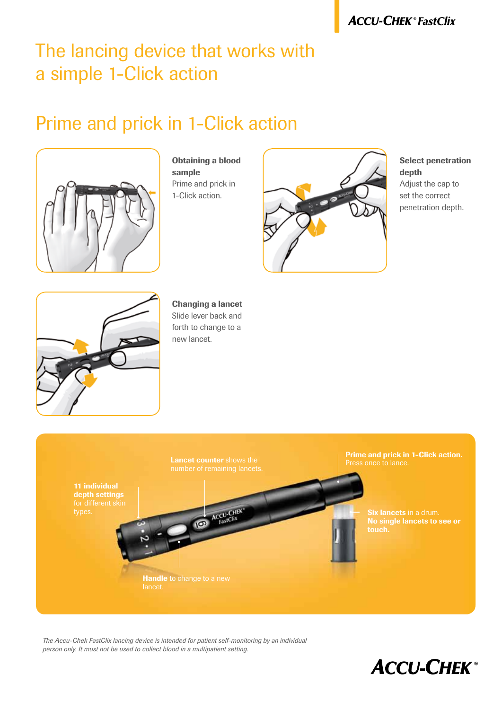## The lancing device that works with a simple 1-Click action

### Prime and prick in 1-Click action



Obtaining a blood sample Prime and prick in 1-Click action.



#### Select penetration depth

Adjust the cap to set the correct penetration depth.



Changing a lancet Slide lever back and forth to change to a new lancet.



*The Accu-Chek FastClix lancing device is intended for patient self-monitoring by an individual person only. It must not be used to collect blood in a multipatient setting.*